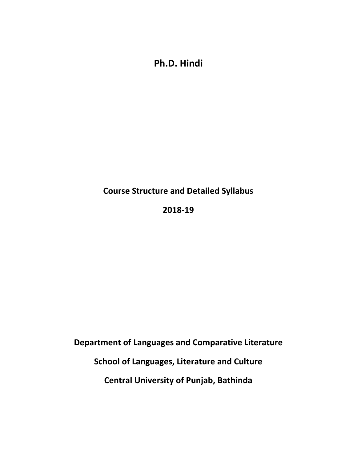**Ph.D. Hindi**

# **Course Structure and Detailed Syllabus**

## **2018-19**

**Department of Languages and Comparative Literature**

**School of Languages, Literature and Culture**

**Central University of Punjab, Bathinda**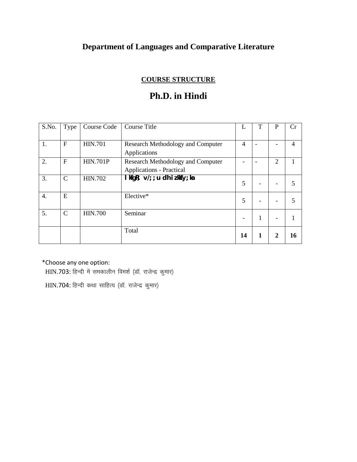# **Department of Languages and Comparative Literature**

### **COURSE STRUCTURE**

## **Ph.D. in Hindi**

| S.No.            | Type          | Course Code     | Course Title                                                                | L              | T | $\mathbf P$ | Cr |
|------------------|---------------|-----------------|-----------------------------------------------------------------------------|----------------|---|-------------|----|
| 1.               | $\mathbf F$   | <b>HIN.701</b>  | <b>Research Methodology and Computer</b><br>Applications                    | $\overline{4}$ |   |             | 4  |
| 2.               | $\mathbf F$   | <b>HIN.701P</b> | <b>Research Methodology and Computer</b><br><b>Applications - Practical</b> |                |   | 2           |    |
| 3.               | $\mathcal{C}$ | <b>HIN.702</b>  | kfgR; $\sqrt{2}$ ; u dh izkkf $\sqrt{2}$ ; ka                               | 5              |   |             |    |
| $\overline{4}$ . | E             |                 | Elective*                                                                   | 5              |   |             |    |
| 5.               | $\mathcal{C}$ | <b>HIN.700</b>  | Seminar                                                                     |                |   |             |    |
|                  |               |                 | Total                                                                       | 14             |   | 2           | 16 |

\*Choose any one option:

 $HIN.703$ : हिन्दी में समकालीन विमर्श (डॉ. राजेन्द्र कुमार)

HIN.704: हिन्दी कथा साहित्य (डॉ. राजेन्द्र कुमार)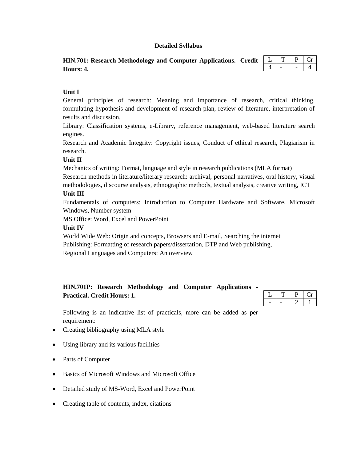#### **Detailed Syllabus**

| HIN.701: Research Methodology and Computer Applications. Credit $\begin{array}{c c c c c c} \hline \text{HIN.701:} & \text{Research Methodology and Computer Applications.} \end{array}$ |  |         |
|------------------------------------------------------------------------------------------------------------------------------------------------------------------------------------------|--|---------|
| Hours: 4.                                                                                                                                                                                |  | $4 - 4$ |

#### **Unit I**

General principles of research: Meaning and importance of research, critical thinking, formulating hypothesis and development of research plan, review of literature, interpretation of results and discussion.

Library: Classification systems, e-Library, reference management, web-based literature search engines.

Research and Academic Integrity: Copyright issues, Conduct of ethical research, Plagiarism in research.

#### **Unit II**

Mechanics of writing: Format, language and style in research publications (MLA format)

Research methods in literature/literary research: archival, personal narratives, oral history, visual methodologies, discourse analysis, ethnographic methods, textual analysis, creative writing, ICT

#### **Unit III**

Fundamentals of computers: Introduction to Computer Hardware and Software, Microsoft Windows, Number system

MS Office: Word, Excel and PowerPoint

#### **Unit IV**

World Wide Web: Origin and concepts, Browsers and E-mail, Searching the internet Publishing: Formatting of research papers/dissertation, DTP and Web publishing, Regional Languages and Computers: An overview

### **HIN.701P: Research Methodology and Computer Applications - Practical. Credit Hours: 1.**

Following is an indicative list of practicals, more can be added as per requirement:

- Creating bibliography using MLA style
- Using library and its various facilities
- Parts of Computer
- Basics of Microsoft Windows and Microsoft Office
- Detailed study of MS-Word, Excel and PowerPoint
- Creating table of contents, index, citations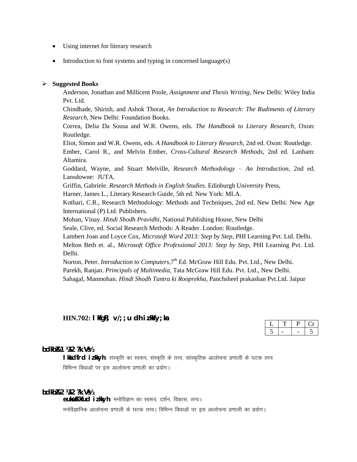- Using internet for literary research
- Introduction to font systems and typing in concerned language(s)

#### **Suggested Books**

Anderson, Jonathan and Millicent Poole, *Assignment and Thesis Writing*, New Delhi: Wiley India Pvt. Ltd.

Chindhade, Shirish, and Ashok Thorat, *An Introduction to Research: The Rudiments of Literary Research*, New Delhi: Foundation Books.

Correa, Delia Da Sousa and W.R. Owens, eds. *The Handbook to Literary Research*, Oxon: Routledge.

Eliot, Simon and W.R. Owens, eds. *A Handbook to Literary Research*, 2nd ed. Oxon: Routledge.

Ember, Carol R., and Melvin Ember*, Cross-Cultural Research Methods*, 2nd ed. Lanham: Altamira.

Goddard, Wayne, and Stuart Melville, *Research Methodology – An Introduction*, 2nd ed. Lansdowne: JUTA.

Griffin, Gabriele. *Research Methods in English Studies*. Edinburgh University Press,

Harner, James L., Literary Research Guide, 5th ed. New York: MLA.

Kothari, C.R., Research Methodology: Methods and Techniques, 2nd ed. New Delhi: New Age International (P) Ltd. Publishers.

Mohan, Vinay. *Hindi Shodh Pravidhi*, National Publishing House, New Delhi

Seale, Clive, ed. Social Research Methods: A Reader. London: Routledge.

Lambert Joan and Loyce Cox, *Microsoft Word 2013: Step by Step*, PHI Learning Pvt. Ltd. Delhi. Melton Beth et. al., *Microsoft Office Professional 2013: Step by Step*, PHI Learning Pvt. Ltd. Delhi.

Norton, Peter. *Introduction to Computers*, 7<sup>th</sup> Ed. McGraw Hill Edu. Pvt. Ltd., New Delhi.

Parekh, Ranjan. *Principals of Multimedia*, Tata McGraw Hill Edu. Pvt. Ltd., New Delhi.

Sahagal, Manmohan. *Hindi Shodh Tantra ki Rooprekha*, Panchsheel prakashan Pvt.Ltd. Jaipur

**HIN.702: lkfgR; v/;;u dh iz.kkfy;ka** 

**bdkbZ&1 ¼12 ?k.Vs½**

**l ki**\_dfrd iikkyh : संस्कृति का स्वरूप, संस्कृति के तत्त्व, सांस्कृतिक आलोचना प्रणाली के घटक तत्त्व विभिन्न विधाओं पर इस आलोचना प्रणाली का प्रयोग।

**bdkbZ&2 ¼12 ?k.Vs½**

eukoKkfud iz.kkyh: मनोविज्ञान का स्वरूप, दर्शन, विकास, तत्त्व। मनोवैज्ञानिक आलोचना प्रणाली के घटक तत्त्व। विभिन्न विधाओं पर इस आलोचना प्रणाली का प्रयोग।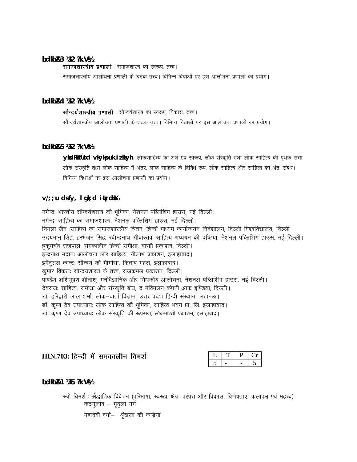#### bdkb1&3 ¼12 ?k. V\%

समाजशास्त्रीय प्रणाली : समाजशास्त्र का स्वरूप, तत्त्व।

समाजशास्त्रीय आलोचना प्रणाली के घटक तत्त्व। विभिन्न विधाओं पर इस आलोचना प्रणाली का प्रयोग।

#### bdkbl&4 ¼12 ?k. V½

सौन्दर्यशास्त्रीय प्रणाली : सौन्दर्यशास्त्र का स्वरूप, विकास, तत्त्व। सौन्दर्यशास्त्रीय आलोचना प्रणाली के घटक तत्त्व। विभिन्न विधाओं पर इस आलोचना प्रणाली का प्रयोग।

#### bdkbl&5 ¼12 ?k. V½

ykxdRkkflod vkykpuk i z kkyh : लोकसाहित्य का अर्थ एवं स्वरूप, लोक संस्कृति तथा लोक साहित्य की पृथक सत्ता लोक संस्कृति तथा लोक साहित्य में अंतर, लोक साहित्य के विविध रूप, लोक साहित्य और साहित्य का अंतः संबंध। विभिन्न विधाओं पर इस आलोचना प्रणाली का प्रयोग।

#### $V$ ; ; u ds fy, l gk; d it rd %

नगेन्द्रः भारतीय सौन्दर्यशास्त्र की भूमिका, नेशनल पब्लिशिंग हाउस, नई दिल्ली। नगेन्द्रः साहित्य का समाजशास्त्र, नेशनल पब्लिशिंग हाउस, नई दिल्ली। निर्मला जैन :साहित्य का समाजशास्त्रीय चिंतन, हिन्दी माध्यम कार्यान्वयन निदेशालय, दिल्ली विश्वविद्यालय, दिल्ली उदयभानु सिंह, हरभजन सिंह, रवीन्द्रनाथ श्रीवास्तवः साहित्य अध्ययन की दृष्टियां, नेशनल पब्लिशिंग हाउस, नई दिल्ली। हुकुमचंद राजपालः समकालीन हिन्दी समीक्षा, वाणी प्रकाशन, दिल्ली। इन्द्रनाथ मदानः आलोचना और साहित्य, नीलाभ प्रकाशन, इलाहाबाद। इमैनुअल कान्टः सौन्दर्य की मीमांसा, किताब महल, इलाहाबाद। कुमार विकलः सौन्दर्यशास्त्र के तत्त्व, राजकमल प्रकाशन, दिल्ली। पाण्डेय शशिभुषण शीतांशः मनोवैज्ञानिक और मिथकीय आलोचना, नेशनल पब्लिशिंग हाउस, नई दिल्ली। देवराजः साहित्य, समीक्षा और संस्कृति बोध, द मैक्मिलन कंपनी आफ इण्डिया, दिल्ली। डॉ. हरिद्वारी लाल शर्मा, लोक-वार्ता विज्ञान, उत्तर प्रदेश हिन्दी संस्थान, लखनऊ। डॉ. कृष्ण देव उपाध्यायः लोक साहित्य की भूमिका, साहित्य भवन प्रा. लि. इलाहाबाद। डॉ. कृष्ण देव उपाध्यायः लोक संस्कृति की रूपरेखा, लोकभारती प्रकाशन, इलाहाबाद।

### HIN.703: हिन्दी में समकालीन विमर्श

bdkbl&1 ¼15 ?k. V½

स्त्री विमर्श : सैद्धांतिक विवेचन (परिभाषा, स्वरूप, क्षेत्र, परंपरा और विकास, विशेषताएं, कलापक्ष एवं महत्त्व) कठगुलाब - मृदुला गर्ग

महादेवी वर्मा- श्रृँखला की कड़ियां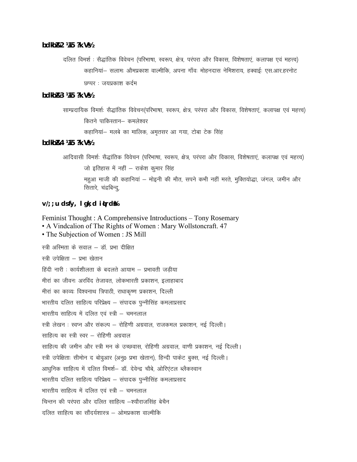**bdkbZ&2 ¼15 ?k.Vs½**

दलित विमर्श : सैद्धांतिक विवेचन (परिभाषा, स्वरूप, क्षेत्र, परंपरा और विकास, विशेषताएं, कलापक्ष एवं महत्त्व) कहानियां- सलामः औमप्रकाश वाल्मीकि, अपना गाँवः मोहनदास नेमिशराय, हक्वाईः एस.आर.हरनोट  $B$ ष्पर : जयप्रकाश कर्दम

**bdkbZ&3 ¼15 ?k.Vs½**

साम्प्रदायिक विमर्शः सैद्धांतिक विवेचन(परिभाषा, स्वरूप, क्षेत्र, परंपरा और विकास, विशेषताएं, कलापक्ष एवं महत्त्व) कितने पाकिस्तान– कमलेश्वर कहानियां– मलबे का मालिक, अमृतसर आ गया, टोबा टेक सिंह

**bdkbZ&4 ¼15 ?k.Vs½**

आदिवासी विमर्शः सैद्धांतिक विवेचन (परिभाषा, स्वरूप, क्षेत्र, परंपरा और विकास, विशेषताएं, कलापक्ष एवं महत्त्व) जो इतिहास में नहीं – राकेश कुमार सिंह महुआ माजी की कहानियां – मोइनी की मौत, सपने कभी नहीं मरते, मुक्तियोद्धा, जंगल, जमीन और सितारे, चंद्रबिन्दू,

**v/;;u ds fy, lgk;d iqLrdsa%**

Feminist Thought : A Comprehensive Introductions – Tony Rosemary • A Vindcalion of The Rights of Women : Mary Wollstoncraft. 47 • The Subjection of Women : JS Mill स्त्री अस्मिता के सवाल – डॉ. प्रभा दीक्षित स्त्री उपेक्षिता – प्रभा खेतान हिंदी नारी : कार्यशीलता के बदलते आयाम – प्रभावती जडीया मीरां का जीवनः अरविंद तेजावत. लोकभारती प्रकाशन, इलाहाबाद मीरां का काव्यः विश्वनाथ त्रिपाठी, राधाकृष्ण प्रकाशन, दिल्ली भारतीय दलित साहित्य परिप्रेक्ष्य – संपादक पून्नीसिंह कमलाप्रसाद भारतीय साहित्य में दलित एवं स्त्री – चमनलाल स्त्री लेखन : स्वप्न और संकल्प – रोहिणी अग्रवाल, राजकमल प्रकाशन, नई दिल्ली | साहित्य का स्त्री स्वर — रोहिणी अग्रवाल साहित्य की जमीन और स्त्री मन के उच्छवास, रोहिणी अग्रवाल, वाणी प्रकाशन, नई दिल्ली। स्त्री उपेक्षिताः सीमोन द बोवुआर (अनु0 प्रभा खेतान), हिन्दी पाकेट बुक्स, नई दिल्ली। आधुनिक साहित्य में दलित विमर्श- डॉ. देवेन्द्र चौबे, ओरिएंटल ब्लैकस्वान भारतीय दलित साहित्य परिप्रेक्ष्य – संपादक पुन्नीसिंह कमलाप्रसाद भारतीय साहित्य में दलित एवं स्त्री – चमनलाल चिन्तन की परंपरा और दलित साहित्य –श्यौराजसिंह बेचैन दलित साहित्य का सौंदर्यशास्त्र – ओमप्रकाश वाल्मीकि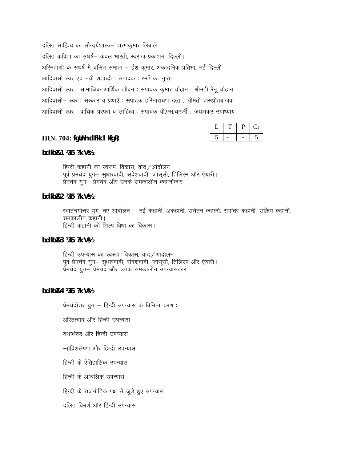दलित साहित्य का सौन्दर्यशास्त्र- शरणकुमार लिंबाले दलित कविता का संघर्ष– कवल भारती, स्वराज प्रकाशन, दिल्ली। अस्मिताओं के संघर्ष में दलित समाज – ईश कुमार, अकादमिक प्रतिभा, नई दिल्ली आदिवासी स्वर एवं नयी शताब्दी : संपादक : रमणिका गुप्ता आदिवासी स्वर : सामाजिक आर्थिक जीवन : संपादक कुमार चौहान , श्रीमती रेनू चौहान आदिवासी– स्वर : संस्कार व प्रथाएँ : संपादक हरिनारायण दत्त , श्रीमती जसप्रीतबाजवा आदिवासी स्वर : वाचिक परंपरा व साहित्य : संपादक वी.एस.चटर्जी , जयशंकर उपाध्याय

**HIN. 704:** fglinh dFkk I kfgR;

bdkb&1 ¼15 ?k. V%

हिन्दी कहानी का स्वरूप, विकास, वाद /आंदोलन पूर्व प्रेमचंद युग– सुधारवादी, संदेशवादी, जासूसी, तिलिस्म और ऐयारी। प्रेमचंद युग– प्रेमचंद और उनके समकालीन कहानीकार

bdkbR2 1415 ?k. V\

स्वातंत्रयोत्तर युगः नए आंदोलन – नई कहानी, अकहानी, सचेतन कहानी, समांतर कहानी, सक्रिय कहानी, समकालीन कहानी। हिन्दी कहानी की शिल्प विधा का विकास।

bdkb $B$ 3 ¼15 ?k. V½

हिन्दी उपन्यास का स्वरूप, विकास, वाद/आंदोलन पूर्व प्रेमचंद युग- सुधारवादी, संदेशवादी, जासूसी, तिलिस्म और ऐयारी। प्रेमचंद युग— प्रेमचंद और उनके समकालीन उपन्यासकार

bdkb1&4 1415 ?k. V\

प्रेमचंदोत्तर युग – हिन्दी उपन्यास के विभिन्न चरण:

अस्तित्वाद और हिन्दी उपन्यास

यथार्थवद और हिन्दी उपन्यास

म्नोविशलेषण और हिन्दी उपन्यास

हिन्दी के ऐतिहासिक उपन्यास

हिन्दी के आंचलिक उपन्यास

हिन्दी के राजनीतिक पक्ष से जुड़े हुए उपन्यास

दलित विमर्श और हिन्दी उपन्यास